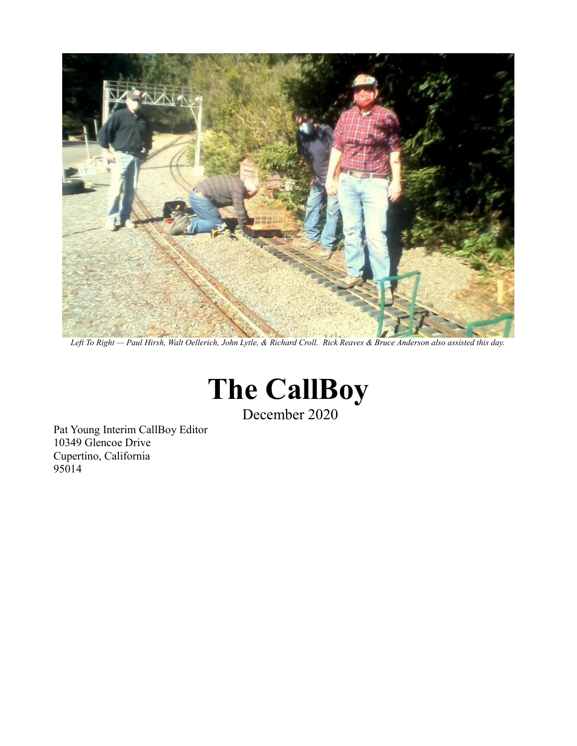

*Left To Right — Paul Hirsh, Walt Oellerich, John Lytle, & Richard Croll. Rick Reaves & Bruce Anderson also assisted this day.*



December 2020

Pat Young Interim CallBoy Editor 10349 Glencoe Drive Cupertino, California 95014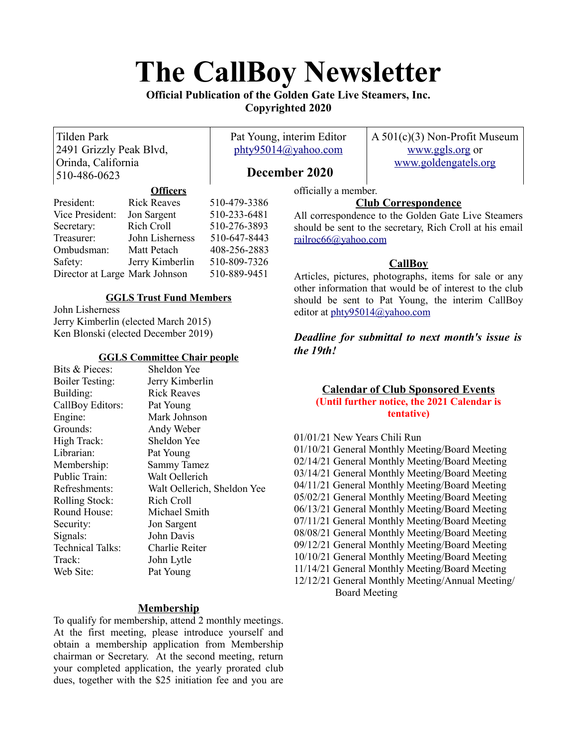# **The CallBoy Newsletter**

# **Official Publication of the Golden Gate Live Steamers, Inc. Copyrighted 2020**

Tilden Park 2491 Grizzly Peak Blvd, Orinda, California 510-486-0623

Pat Young, interim Editor [phty95014@yahoo.com](mailto:phty95014@yahoo.com)

A 501(c)(3) Non-Profit Museum [www.ggls.org](http://www.ggls.org/) or [www.goldengatels.org](http://www.goldengatels.org/)

# **December 2020**

## **Officers**

officially a member.

## President: Rick Reaves 510-479-3386 Vice President: Jon Sargent 510-233-6481 Secretary: Rich Croll 510-276-3893 Treasurer: John Lisherness 510-647-8443 Ombudsman: Matt Petach 408-256-2883 Safety: Jerry Kimberlin 510-809-7326 Director at Large Mark Johnson 510-889-9451

# **GGLS Trust Fund Members**

John Lisherness Jerry Kimberlin (elected March 2015) Ken Blonski (elected December 2019)

## **GGLS Committee Chair people**

| Bits & Pieces:          | Sheldon Yee                 |
|-------------------------|-----------------------------|
| <b>Boiler Testing:</b>  | Jerry Kimberlin             |
| Building:               | <b>Rick Reaves</b>          |
| CallBoy Editors:        | Pat Young                   |
| Engine:                 | Mark Johnson                |
| Grounds:                | Andy Weber                  |
| High Track:             | Sheldon Yee                 |
| Librarian:              | Pat Young                   |
| Membership:             | <b>Sammy Tamez</b>          |
| Public Train:           | Walt Oellerich              |
| Refreshments:           | Walt Oellerich, Sheldon Yee |
| <b>Rolling Stock:</b>   | Rich Croll                  |
| Round House:            | Michael Smith               |
| Security:               | Jon Sargent                 |
| Signals:                | John Davis                  |
| <b>Technical Talks:</b> | Charlie Reiter              |
| Track:                  | John Lytle                  |
| Web Site:               | Pat Young                   |
|                         |                             |

# **Membership**

To qualify for membership, attend 2 monthly meetings. At the first meeting, please introduce yourself and obtain a membership application from Membership chairman or Secretary. At the second meeting, return your completed application, the yearly prorated club dues, together with the \$25 initiation fee and you are

**Club Correspondence**

All correspondence to the Golden Gate Live Steamers should be sent to the secretary, Rich Croll at his email [railroc66@yahoo.com](mailto:railroc66@yahoo.com)

# **CallBoy**

Articles, pictures, photographs, items for sale or any other information that would be of interest to the club should be sent to Pat Young, the interim CallBoy editor at [phty95014@yahoo.com](mailto:phty95014@yahoo.com)

*Deadline for submittal to next month's issue is the 19th!* 

## **Calendar of Club Sponsored Events (Until further notice, the 2021 Calendar is tentative)**

01/01/21 New Years Chili Run 01/10/21 General Monthly Meeting/Board Meeting 02/14/21 General Monthly Meeting/Board Meeting 03/14/21 General Monthly Meeting/Board Meeting 04/11/21 General Monthly Meeting/Board Meeting 05/02/21 General Monthly Meeting/Board Meeting 06/13/21 General Monthly Meeting/Board Meeting 07/11/21 General Monthly Meeting/Board Meeting 08/08/21 General Monthly Meeting/Board Meeting 09/12/21 General Monthly Meeting/Board Meeting 10/10/21 General Monthly Meeting/Board Meeting 11/14/21 General Monthly Meeting/Board Meeting 12/12/21 General Monthly Meeting/Annual Meeting/ Board Meeting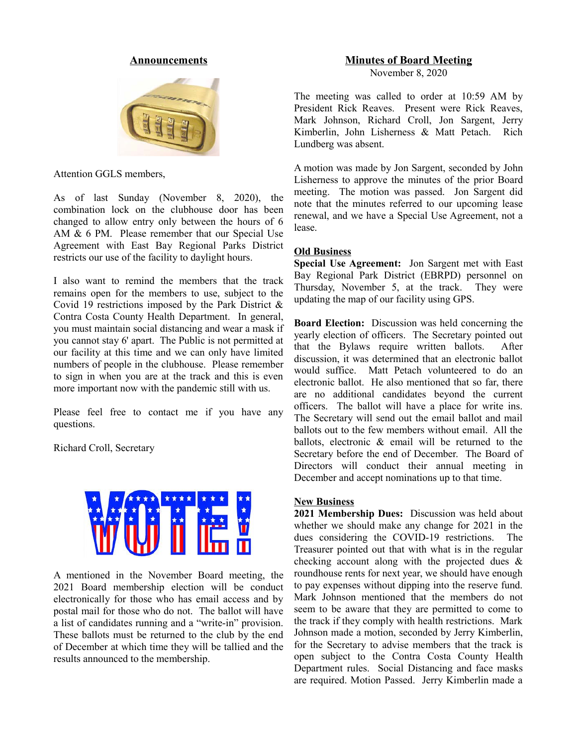#### **Announcements**



Attention GGLS members,

As of last Sunday (November 8, 2020), the combination lock on the clubhouse door has been changed to allow entry only between the hours of 6 AM & 6 PM. Please remember that our Special Use Agreement with East Bay Regional Parks District restricts our use of the facility to daylight hours.

I also want to remind the members that the track remains open for the members to use, subject to the Covid 19 restrictions imposed by the Park District & Contra Costa County Health Department. In general, you must maintain social distancing and wear a mask if you cannot stay 6' apart. The Public is not permitted at our facility at this time and we can only have limited numbers of people in the clubhouse. Please remember to sign in when you are at the track and this is even more important now with the pandemic still with us.

Please feel free to contact me if you have any questions.

Richard Croll, Secretary



A mentioned in the November Board meeting, the 2021 Board membership election will be conduct electronically for those who has email access and by postal mail for those who do not. The ballot will have a list of candidates running and a "write-in" provision. These ballots must be returned to the club by the end of December at which time they will be tallied and the results announced to the membership.

#### **Minutes of Board Meeting**

November 8, 2020

The meeting was called to order at 10:59 AM by President Rick Reaves. Present were Rick Reaves, Mark Johnson, Richard Croll, Jon Sargent, Jerry Kimberlin, John Lisherness & Matt Petach. Rich Lundberg was absent.

A motion was made by Jon Sargent, seconded by John Lisherness to approve the minutes of the prior Board meeting. The motion was passed. Jon Sargent did note that the minutes referred to our upcoming lease renewal, and we have a Special Use Agreement, not a lease.

#### **Old Business**

**Special Use Agreement:** Jon Sargent met with East Bay Regional Park District (EBRPD) personnel on Thursday, November 5, at the track. They were updating the map of our facility using GPS.

**Board Election:** Discussion was held concerning the yearly election of officers. The Secretary pointed out that the Bylaws require written ballots. After discussion, it was determined that an electronic ballot would suffice. Matt Petach volunteered to do an electronic ballot. He also mentioned that so far, there are no additional candidates beyond the current officers. The ballot will have a place for write ins. The Secretary will send out the email ballot and mail ballots out to the few members without email. All the ballots, electronic & email will be returned to the Secretary before the end of December. The Board of Directors will conduct their annual meeting in December and accept nominations up to that time.

#### **New Business**

**2021 Membership Dues:** Discussion was held about whether we should make any change for 2021 in the dues considering the COVID-19 restrictions. The Treasurer pointed out that with what is in the regular checking account along with the projected dues & roundhouse rents for next year, we should have enough to pay expenses without dipping into the reserve fund. Mark Johnson mentioned that the members do not seem to be aware that they are permitted to come to the track if they comply with health restrictions. Mark Johnson made a motion, seconded by Jerry Kimberlin, for the Secretary to advise members that the track is open subject to the Contra Costa County Health Department rules. Social Distancing and face masks are required. Motion Passed. Jerry Kimberlin made a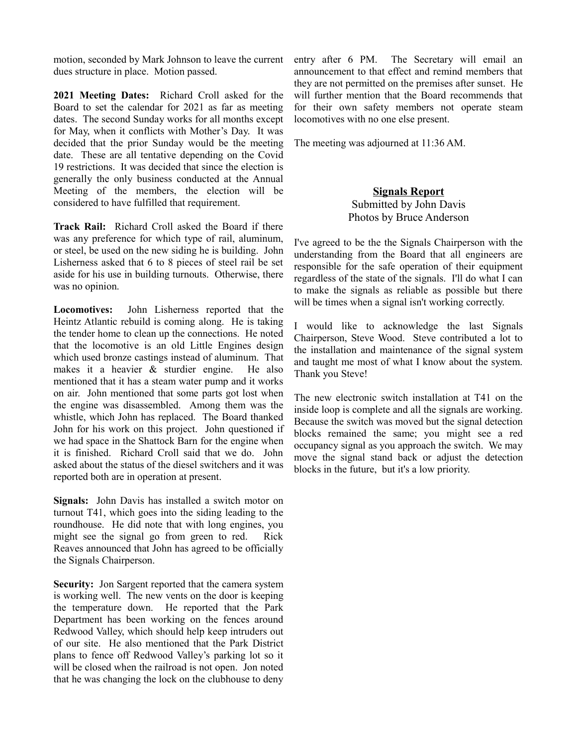motion, seconded by Mark Johnson to leave the current dues structure in place. Motion passed.

**2021 Meeting Dates:** Richard Croll asked for the Board to set the calendar for 2021 as far as meeting dates. The second Sunday works for all months except for May, when it conflicts with Mother's Day. It was decided that the prior Sunday would be the meeting date. These are all tentative depending on the Covid 19 restrictions. It was decided that since the election is generally the only business conducted at the Annual Meeting of the members, the election will be considered to have fulfilled that requirement.

**Track Rail:** Richard Croll asked the Board if there was any preference for which type of rail, aluminum, or steel, be used on the new siding he is building. John Lisherness asked that 6 to 8 pieces of steel rail be set aside for his use in building turnouts. Otherwise, there was no opinion.

**Locomotives:** John Lisherness reported that the Heintz Atlantic rebuild is coming along. He is taking the tender home to clean up the connections. He noted that the locomotive is an old Little Engines design which used bronze castings instead of aluminum. That makes it a heavier & sturdier engine. He also mentioned that it has a steam water pump and it works on air. John mentioned that some parts got lost when the engine was disassembled. Among them was the whistle, which John has replaced. The Board thanked John for his work on this project. John questioned if we had space in the Shattock Barn for the engine when it is finished. Richard Croll said that we do. John asked about the status of the diesel switchers and it was reported both are in operation at present.

**Signals:** John Davis has installed a switch motor on turnout T41, which goes into the siding leading to the roundhouse. He did note that with long engines, you might see the signal go from green to red. Rick Reaves announced that John has agreed to be officially the Signals Chairperson.

**Security:** Jon Sargent reported that the camera system is working well. The new vents on the door is keeping the temperature down. He reported that the Park Department has been working on the fences around Redwood Valley, which should help keep intruders out of our site. He also mentioned that the Park District plans to fence off Redwood Valley's parking lot so it will be closed when the railroad is not open. Jon noted that he was changing the lock on the clubhouse to deny

entry after 6 PM. The Secretary will email an announcement to that effect and remind members that they are not permitted on the premises after sunset. He will further mention that the Board recommends that for their own safety members not operate steam locomotives with no one else present.

The meeting was adjourned at 11:36 AM.

# **Signals Report** Submitted by John Davis Photos by Bruce Anderson

I've agreed to be the the Signals Chairperson with the understanding from the Board that all engineers are responsible for the safe operation of their equipment regardless of the state of the signals. I'll do what I can to make the signals as reliable as possible but there will be times when a signal isn't working correctly.

I would like to acknowledge the last Signals Chairperson, Steve Wood. Steve contributed a lot to the installation and maintenance of the signal system and taught me most of what I know about the system. Thank you Steve!

The new electronic switch installation at T41 on the inside loop is complete and all the signals are working. Because the switch was moved but the signal detection blocks remained the same; you might see a red occupancy signal as you approach the switch. We may move the signal stand back or adjust the detection blocks in the future, but it's a low priority.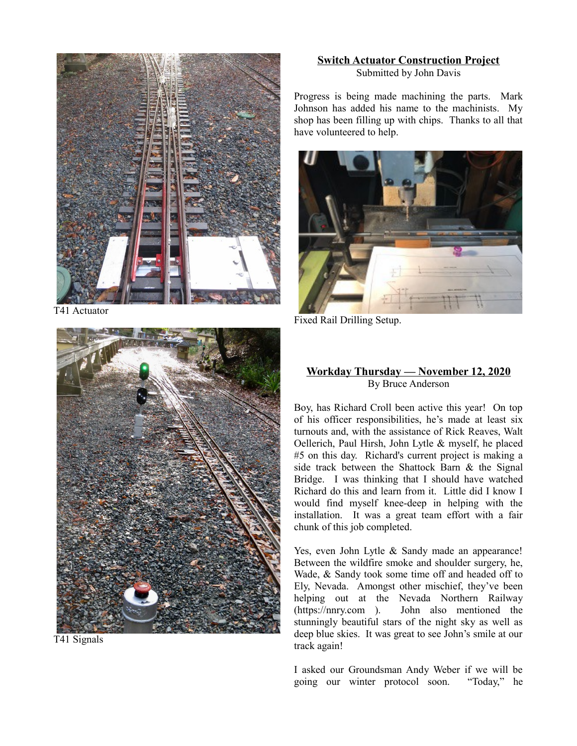

T41 Actuator



T41 Signals

## **Switch Actuator Construction Project** Submitted by John Davis

Progress is being made machining the parts. Mark Johnson has added his name to the machinists. My shop has been filling up with chips. Thanks to all that have volunteered to help.



Fixed Rail Drilling Setup.

# **Workday Thursday — November 12, 2020** By Bruce Anderson

Boy, has Richard Croll been active this year! On top of his officer responsibilities, he's made at least six turnouts and, with the assistance of Rick Reaves, Walt Oellerich, Paul Hirsh, John Lytle & myself, he placed #5 on this day. Richard's current project is making a side track between the Shattock Barn & the Signal Bridge. I was thinking that I should have watched Richard do this and learn from it. Little did I know I would find myself knee-deep in helping with the installation. It was a great team effort with a fair chunk of this job completed.

Yes, even John Lytle & Sandy made an appearance! Between the wildfire smoke and shoulder surgery, he, Wade, & Sandy took some time off and headed off to Ely, Nevada. Amongst other mischief, they've been helping out at the Nevada Northern Railway (https://nnry.com ). John also mentioned the stunningly beautiful stars of the night sky as well as deep blue skies. It was great to see John's smile at our track again!

I asked our Groundsman Andy Weber if we will be going our winter protocol soon. "Today," he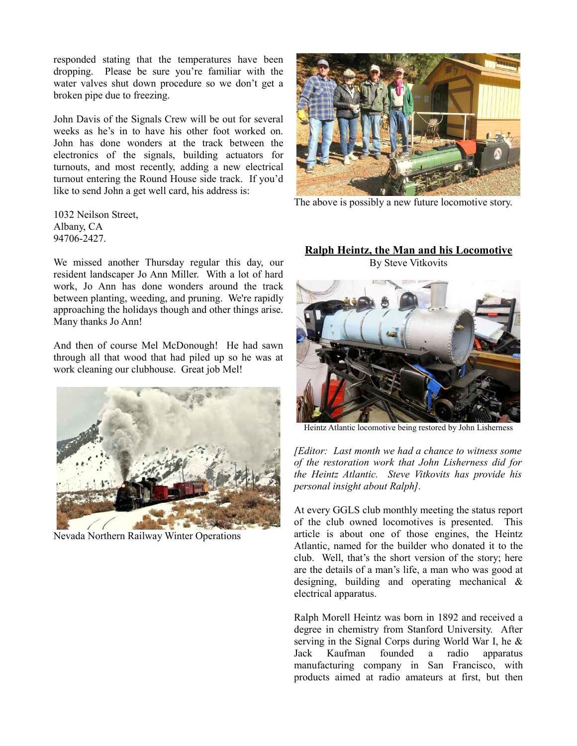responded stating that the temperatures have been dropping. Please be sure you're familiar with the water valves shut down procedure so we don't get a broken pipe due to freezing.

John Davis of the Signals Crew will be out for several weeks as he's in to have his other foot worked on. John has done wonders at the track between the electronics of the signals, building actuators for turnouts, and most recently, adding a new electrical turnout entering the Round House side track. If you'd like to send John a get well card, his address is:

1032 Neilson Street, Albany, CA 94706-2427.

We missed another Thursday regular this day, our resident landscaper Jo Ann Miller. With a lot of hard work, Jo Ann has done wonders around the track between planting, weeding, and pruning. We're rapidly approaching the holidays though and other things arise. Many thanks Jo Ann!

And then of course Mel McDonough! He had sawn through all that wood that had piled up so he was at work cleaning our clubhouse. Great job Mel!



Nevada Northern Railway Winter Operations



The above is possibly a new future locomotive story.

## **Ralph Heintz, the Man and his Locomotive** By Steve Vitkovits



Heintz Atlantic locomotive being restored by John Lisherness

*[Editor: Last month we had a chance to witness some of the restoration work that John Lisherness did for the Heintz Atlantic. Steve Vitkovits has provide his personal insight about Ralph].*

At every GGLS club monthly meeting the status report of the club owned locomotives is presented. This article is about one of those engines, the Heintz Atlantic, named for the builder who donated it to the club. Well, that's the short version of the story; here are the details of a man's life, a man who was good at designing, building and operating mechanical & electrical apparatus.

Ralph Morell Heintz was born in 1892 and received a degree in chemistry from Stanford University. After serving in the Signal Corps during World War I, he & Jack Kaufman founded a radio apparatus manufacturing company in San Francisco, with products aimed at radio amateurs at first, but then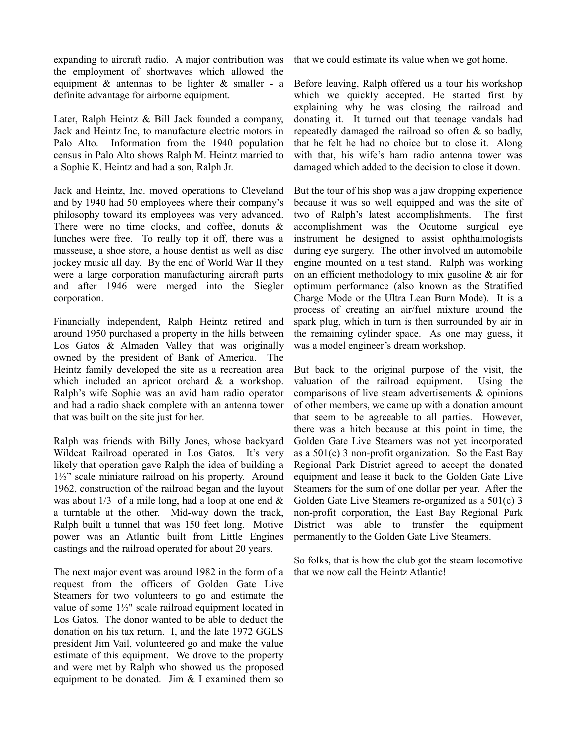expanding to aircraft radio. A major contribution was the employment of shortwaves which allowed the equipment  $\&$  antennas to be lighter  $\&$  smaller - a definite advantage for airborne equipment.

Later, Ralph Heintz & Bill Jack founded a company, Jack and Heintz Inc, to manufacture electric motors in Palo Alto. Information from the 1940 population census in Palo Alto shows Ralph M. Heintz married to a Sophie K. Heintz and had a son, Ralph Jr.

Jack and Heintz, Inc. moved operations to Cleveland and by 1940 had 50 employees where their company's philosophy toward its employees was very advanced. There were no time clocks, and coffee, donuts & lunches were free. To really top it off, there was a masseuse, a shoe store, a house dentist as well as disc jockey music all day. By the end of World War II they were a large corporation manufacturing aircraft parts and after 1946 were merged into the Siegler corporation.

Financially independent, Ralph Heintz retired and around 1950 purchased a property in the hills between Los Gatos & Almaden Valley that was originally owned by the president of Bank of America. The Heintz family developed the site as a recreation area which included an apricot orchard & a workshop. Ralph's wife Sophie was an avid ham radio operator and had a radio shack complete with an antenna tower that was built on the site just for her.

Ralph was friends with Billy Jones, whose backyard Wildcat Railroad operated in Los Gatos. It's very likely that operation gave Ralph the idea of building a 1½" scale miniature railroad on his property. Around 1962, construction of the railroad began and the layout was about  $1/3$  of a mile long, had a loop at one end  $\&$ a turntable at the other. Mid-way down the track, Ralph built a tunnel that was 150 feet long. Motive power was an Atlantic built from Little Engines castings and the railroad operated for about 20 years.

The next major event was around 1982 in the form of a request from the officers of Golden Gate Live Steamers for two volunteers to go and estimate the value of some 1½" scale railroad equipment located in Los Gatos. The donor wanted to be able to deduct the donation on his tax return. I, and the late 1972 GGLS president Jim Vail, volunteered go and make the value estimate of this equipment. We drove to the property and were met by Ralph who showed us the proposed equipment to be donated. Jim & I examined them so

that we could estimate its value when we got home.

Before leaving, Ralph offered us a tour his workshop which we quickly accepted. He started first by explaining why he was closing the railroad and donating it. It turned out that teenage vandals had repeatedly damaged the railroad so often & so badly, that he felt he had no choice but to close it. Along with that, his wife's ham radio antenna tower was damaged which added to the decision to close it down.

But the tour of his shop was a jaw dropping experience because it was so well equipped and was the site of two of Ralph's latest accomplishments. The first accomplishment was the Ocutome surgical eye instrument he designed to assist ophthalmologists during eye surgery. The other involved an automobile engine mounted on a test stand. Ralph was working on an efficient methodology to mix gasoline & air for optimum performance (also known as the Stratified Charge Mode or the Ultra Lean Burn Mode). It is a process of creating an air/fuel mixture around the spark plug, which in turn is then surrounded by air in the remaining cylinder space. As one may guess, it was a model engineer's dream workshop.

But back to the original purpose of the visit, the valuation of the railroad equipment. Using the comparisons of live steam advertisements & opinions of other members, we came up with a donation amount that seem to be agreeable to all parties. However, there was a hitch because at this point in time, the Golden Gate Live Steamers was not yet incorporated as a  $501(c)$  3 non-profit organization. So the East Bay Regional Park District agreed to accept the donated equipment and lease it back to the Golden Gate Live Steamers for the sum of one dollar per year. After the Golden Gate Live Steamers re-organized as a 501(c) 3 non-profit corporation, the East Bay Regional Park District was able to transfer the equipment permanently to the Golden Gate Live Steamers.

So folks, that is how the club got the steam locomotive that we now call the Heintz Atlantic!